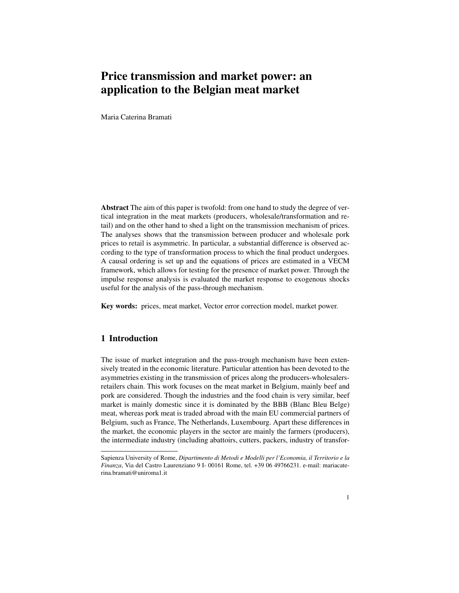# Price transmission and market power: an application to the Belgian meat market

Maria Caterina Bramati

Abstract The aim of this paper is twofold: from one hand to study the degree of vertical integration in the meat markets (producers, wholesale/transformation and retail) and on the other hand to shed a light on the transmission mechanism of prices. The analyses shows that the transmission between producer and wholesale pork prices to retail is asymmetric. In particular, a substantial difference is observed according to the type of transformation process to which the final product undergoes. A causal ordering is set up and the equations of prices are estimated in a VECM framework, which allows for testing for the presence of market power. Through the impulse response analysis is evaluated the market response to exogenous shocks useful for the analysis of the pass-through mechanism.

Key words: prices, meat market, Vector error correction model, market power.

## 1 Introduction

The issue of market integration and the pass-trough mechanism have been extensively treated in the economic literature. Particular attention has been devoted to the asymmetries existing in the transmission of prices along the producers-wholesalersretailers chain. This work focuses on the meat market in Belgium, mainly beef and pork are considered. Though the industries and the food chain is very similar, beef market is mainly domestic since it is dominated by the BBB (Blanc Bleu Belge) meat, whereas pork meat is traded abroad with the main EU commercial partners of Belgium, such as France, The Netherlands, Luxembourg. Apart these differences in the market, the economic players in the sector are mainly the farmers (producers), the intermediate industry (including abattoirs, cutters, packers, industry of transfor-

Sapienza University of Rome, *Dipartimento di Metodi e Modelli per l'Economia, il Territorio e la Finanza*, Via del Castro Laurenziano 9 I- 00161 Rome, tel. +39 06 49766231. e-mail: mariacaterina.bramati@uniroma1.it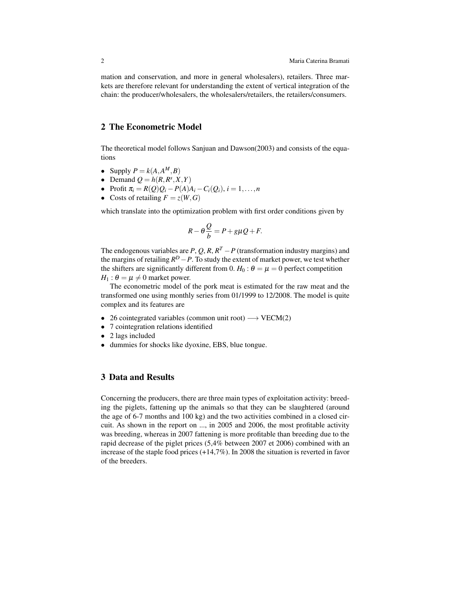mation and conservation, and more in general wholesalers), retailers. Three markets are therefore relevant for understanding the extent of vertical integration of the chain: the producer/wholesalers, the wholesalers/retailers, the retailers/consumers.

### 2 The Econometric Model

The theoretical model follows Sanjuan and Dawson(2003) and consists of the equations

- Supply  $P = k(A, A^M, B)$
- Demand  $Q = h(R, R<sup>s</sup>, X, Y)$
- Profit  $\pi_i = R(Q)Q_i P(A)A_i C_i(Q_i), i = 1,...,n$
- Costs of retailing  $F = z(W, G)$

which translate into the optimization problem with first order conditions given by

$$
R - \theta \frac{Q}{b} = P + g\mu Q + F.
$$

The endogenous variables are  $P$ ,  $Q$ ,  $R$ ,  $R^T - P$  (transformation industry margins) and the margins of retailing  $R^D - P$ . To study the extent of market power, we test whether the shifters are significantly different from 0.  $H_0: \theta = \mu = 0$  perfect competition  $H_1$ :  $\theta = \mu \neq 0$  market power.

The econometric model of the pork meat is estimated for the raw meat and the transformed one using monthly series from 01/1999 to 12/2008. The model is quite complex and its features are

- 26 cointegrated variables (common unit root)  $\longrightarrow$  VECM(2)
- 7 cointegration relations identified
- 2 lags included
- dummies for shocks like dyoxine, EBS, blue tongue.

## 3 Data and Results

Concerning the producers, there are three main types of exploitation activity: breeding the piglets, fattening up the animals so that they can be slaughtered (around the age of 6-7 months and 100 kg) and the two activities combined in a closed circuit. As shown in the report on ..., in 2005 and 2006, the most profitable activity was breeding, whereas in 2007 fattening is more profitable than breeding due to the rapid decrease of the piglet prices (5,4% between 2007 et 2006) combined with an increase of the staple food prices (+14,7%). In 2008 the situation is reverted in favor of the breeders.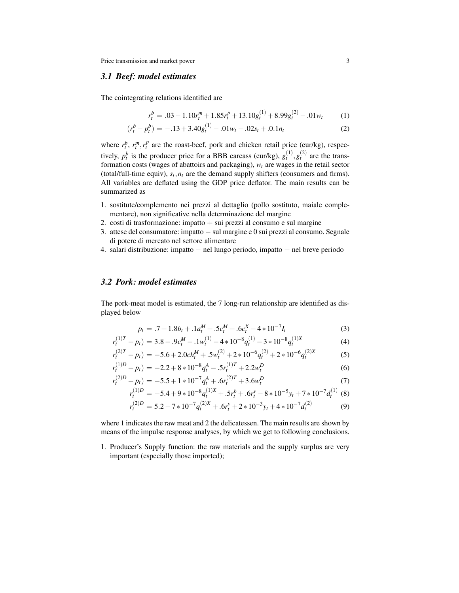Price transmission and market power 3

#### *3.1 Beef: model estimates*

The cointegrating relations identified are

$$
r_t^b = .03 - 1.10r_t^m + 1.85r_t^p + 13.10g_t^{(1)} + 8.99g_t^{(2)} - .01w_t
$$
 (1)

$$
(r_t^b - p_t^b) = -.13 + 3.40g_t^{(1)} - .01w_t - .02s_t + .0.1n_t
$$
 (2)

where  $r_t^b$ ,  $r_t^m$ ,  $r_t^p$  are the roast-beef, pork and chicken retail price (eur/kg), respectively,  $p_t^b$  is the producer price for a BBB carcass (eur/kg),  $g_t^{(1)}, g_t^{(2)}$  are the transformation costs (wages of abattoirs and packaging), *w<sup>t</sup>* are wages in the retail sector (total/full-time equiv),  $s_t$ ,  $n_t$  are the demand supply shifters (consumers and firms). All variables are deflated using the GDP price deflator. The main results can be summarized as

- 1. sostitute/complemento nei prezzi al dettaglio (pollo sostituto, maiale complementare), non significative nella determinazione del margine
- 2. costi di trasformazione: impatto  $+$  sui prezzi al consumo e sul margine
- 3. attese del consumatore: impatto − sul margine e 0 sui prezzi al consumo. Segnale di potere di mercato nel settore alimentare
- 4. salari distribuzione: impatto − nel lungo periodo, impatto + nel breve periodo

## *3.2 Pork: model estimates*

The pork-meat model is estimated, the 7 long-run relationship are identified as displayed below

$$
p_t = .7 + 1.8b_t + .1a_t^M + .5c_t^M + .6c_t^X - 4*10^{-7}I_t
$$
\n(3)

$$
r_t^{(1)T} - p_t = 3.8 - .9c_t^M - .1w_t^{(1)} - 4 \times 10^{-8} q_t^{(1)} - 3 \times 10^{-8} q_t^{(1)X}
$$
 (4)

$$
r_t^{(2)T} - p_t = -5.6 + 2.0ch_t^M + .5w_t^{(2)} + 2*10^{-6}q_t^{(2)} + 2*10^{-6}q_t^{(2)X}
$$
 (5)

$$
r_t^{(1)D} - p_t) = -2.2 + 8 \times 10^{-8} q_t^A - 5r_t^{(1)T} + 2.2w_t^D
$$
\n<sup>(6)</sup>

$$
r_t^{(2)D} - p_t = -5.5 + 1 \times 10^{-7} q_t^A + .6r_t^{(2)T} + 3.6w_t^D
$$
\n<sup>(7)</sup>

$$
r_t^{(1)D} = -5.4 + 9 * 10^{-8} q_t^{(1)X} + .5r_t^b + .6r_t^v - 8 * 10^{-5} y_t + 7 * 10^{-7} d_t^{(1)} \tag{8}
$$

$$
r_t^{(2)D} = 5.2 - 7 * 10^{-7} q_t^{(2)X} + .6r_t^{\nu} + 2 * 10^{-3} y_t + 4 * 10^{-7} d_t^{(2)}
$$
(9)

where 1 indicates the raw meat and 2 the delicatessen. The main results are shown by means of the impulse response analyses, by which we get to following conclusions.

1. Producer's Supply function: the raw materials and the supply surplus are very important (especially those imported);